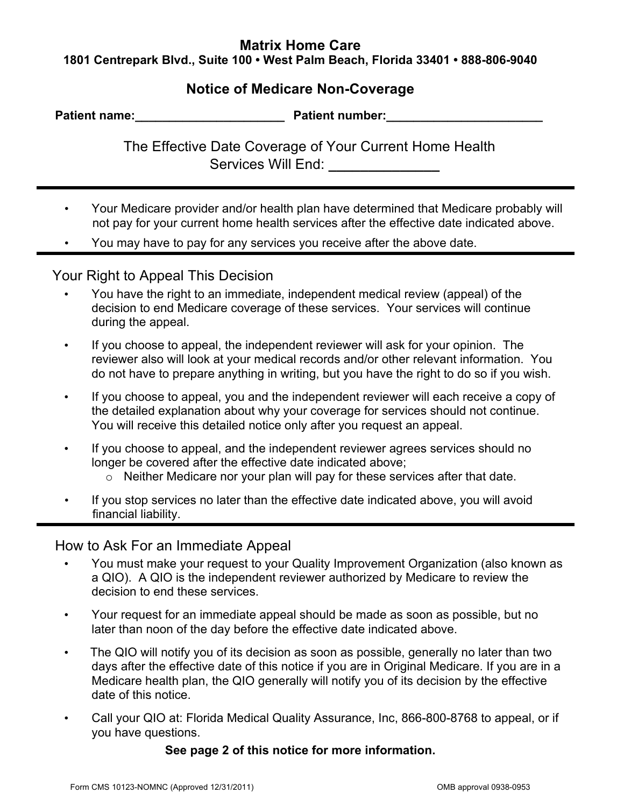## **Matrix Home Care 1801 Centrepark Blvd., Suite 100 • West Palm Beach, Florida 33401 • 888-806-9040**

## **Notice of Medicare Non-Coverage**

| <b>Patient name:</b> | <b>Patient number:</b> |  |
|----------------------|------------------------|--|
|                      |                        |  |
|                      |                        |  |

The Effective Date Coverage of Your Current Home Health Services Will End:

- Your Medicare provider and/or health plan have determined that Medicare probably will not pay for your current home health services after the effective date indicated above.
- You may have to pay for any services you receive after the above date.

## Your Right to Appeal This Decision

- You have the right to an immediate, independent medical review (appeal) of the decision to end Medicare coverage of these services. Your services will continue during the appeal.
- If you choose to appeal, the independent reviewer will ask for your opinion. The reviewer also will look at your medical records and/or other relevant information. You do not have to prepare anything in writing, but you have the right to do so if you wish.
- If you choose to appeal, you and the independent reviewer will each receive a copy of the detailed explanation about why your coverage for services should not continue. You will receive this detailed notice only after you request an appeal.
- If you choose to appeal, and the independent reviewer agrees services should no longer be covered after the effective date indicated above;
	- o Neither Medicare nor your plan will pay for these services after that date.
- If you stop services no later than the effective date indicated above, you will avoid financial liability.

How to Ask For an Immediate Appeal

- You must make your request to your Quality Improvement Organization (also known as a QIO). A QIO is the independent reviewer authorized by Medicare to review the decision to end these services.
- Your request for an immediate appeal should be made as soon as possible, but no later than noon of the day before the effective date indicated above.
- The QIO will notify you of its decision as soon as possible, generally no later than two days after the effective date of this notice if you are in Original Medicare. If you are in a Medicare health plan, the QIO generally will notify you of its decision by the effective date of this notice.
- Call your QIO at: Florida Medical Quality Assurance, Inc, 866-800-8768 to appeal, or if you have questions.

## **See page 2 of this notice for more information.**